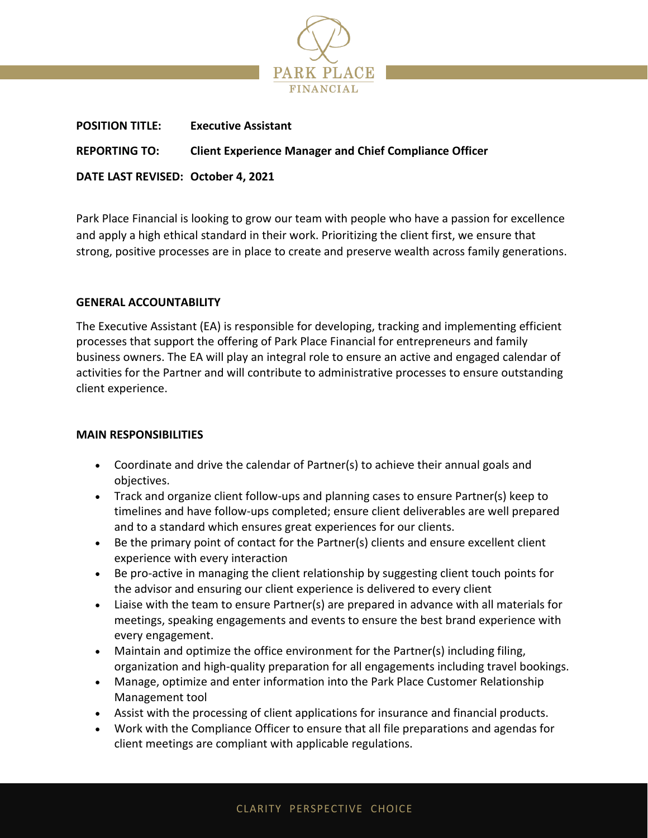

| <b>POSITION TITLE:</b>             | <b>Executive Assistant</b>                                    |
|------------------------------------|---------------------------------------------------------------|
| <b>REPORTING TO:</b>               | <b>Client Experience Manager and Chief Compliance Officer</b> |
| DATE LAST REVISED: October 4, 2021 |                                                               |

Park Place Financial is looking to grow our team with people who have a passion for excellence and apply a high ethical standard in their work. Prioritizing the client first, we ensure that strong, positive processes are in place to create and preserve wealth across family generations.

# **GENERAL ACCOUNTABILITY**

The Executive Assistant (EA) is responsible for developing, tracking and implementing efficient processes that support the offering of Park Place Financial for entrepreneurs and family business owners. The EA will play an integral role to ensure an active and engaged calendar of activities for the Partner and will contribute to administrative processes to ensure outstanding client experience.

## **MAIN RESPONSIBILITIES**

- Coordinate and drive the calendar of Partner(s) to achieve their annual goals and objectives.
- Track and organize client follow-ups and planning cases to ensure Partner(s) keep to timelines and have follow-ups completed; ensure client deliverables are well prepared and to a standard which ensures great experiences for our clients.
- Be the primary point of contact for the Partner(s) clients and ensure excellent client experience with every interaction
- Be pro-active in managing the client relationship by suggesting client touch points for the advisor and ensuring our client experience is delivered to every client
- Liaise with the team to ensure Partner(s) are prepared in advance with all materials for meetings, speaking engagements and events to ensure the best brand experience with every engagement.
- Maintain and optimize the office environment for the Partner(s) including filing, organization and high-quality preparation for all engagements including travel bookings.
- Manage, optimize and enter information into the Park Place Customer Relationship Management tool
- Assist with the processing of client applications for insurance and financial products.
- Work with the Compliance Officer to ensure that all file preparations and agendas for client meetings are compliant with applicable regulations.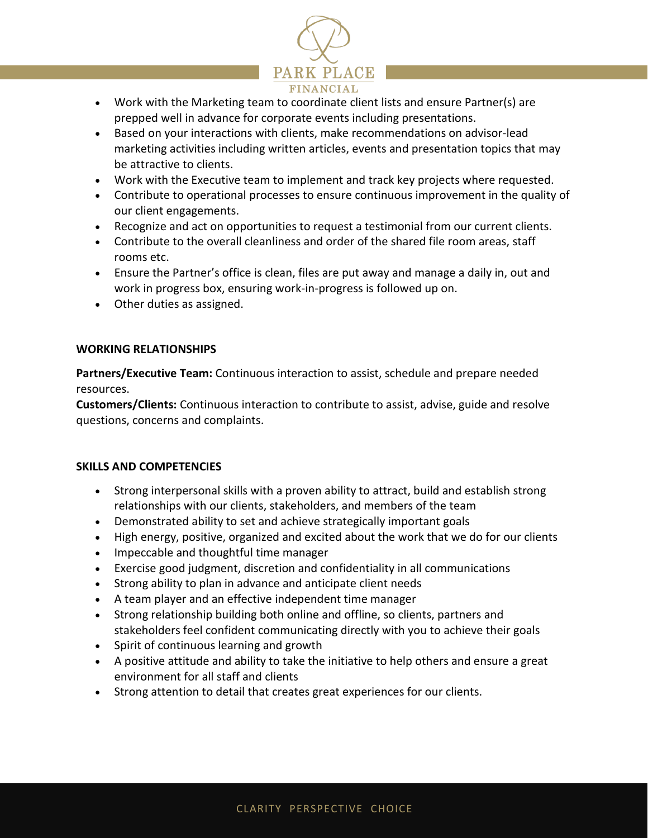

- Work with the Marketing team to coordinate client lists and ensure Partner(s) are prepped well in advance for corporate events including presentations.
- Based on your interactions with clients, make recommendations on advisor-lead marketing activities including written articles, events and presentation topics that may be attractive to clients.
- Work with the Executive team to implement and track key projects where requested.
- Contribute to operational processes to ensure continuous improvement in the quality of our client engagements.
- Recognize and act on opportunities to request a testimonial from our current clients.
- Contribute to the overall cleanliness and order of the shared file room areas, staff rooms etc.
- Ensure the Partner's office is clean, files are put away and manage a daily in, out and work in progress box, ensuring work-in-progress is followed up on.
- Other duties as assigned.

# **WORKING RELATIONSHIPS**

**Partners/Executive Team:** Continuous interaction to assist, schedule and prepare needed resources.

**Customers/Clients:** Continuous interaction to contribute to assist, advise, guide and resolve questions, concerns and complaints.

## **SKILLS AND COMPETENCIES**

- Strong interpersonal skills with a proven ability to attract, build and establish strong relationships with our clients, stakeholders, and members of the team
- Demonstrated ability to set and achieve strategically important goals
- High energy, positive, organized and excited about the work that we do for our clients
- Impeccable and thoughtful time manager
- Exercise good judgment, discretion and confidentiality in all communications
- Strong ability to plan in advance and anticipate client needs
- A team player and an effective independent time manager
- Strong relationship building both online and offline, so clients, partners and stakeholders feel confident communicating directly with you to achieve their goals
- Spirit of continuous learning and growth
- A positive attitude and ability to take the initiative to help others and ensure a great environment for all staff and clients
- Strong attention to detail that creates great experiences for our clients.